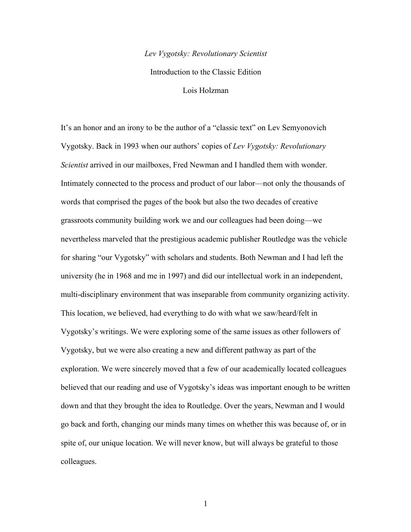#### *Lev Vygotsky: Revolutionary Scientist*

Introduction to the Classic Edition

Lois Holzman

It's an honor and an irony to be the author of a "classic text" on Lev Semyonovich Vygotsky. Back in 1993 when our authors' copies of *Lev Vygotsky: Revolutionary Scientist* arrived in our mailboxes, Fred Newman and I handled them with wonder. Intimately connected to the process and product of our labor—not only the thousands of words that comprised the pages of the book but also the two decades of creative grassroots community building work we and our colleagues had been doing—we nevertheless marveled that the prestigious academic publisher Routledge was the vehicle for sharing "our Vygotsky" with scholars and students. Both Newman and I had left the university (he in 1968 and me in 1997) and did our intellectual work in an independent, multi-disciplinary environment that was inseparable from community organizing activity. This location, we believed, had everything to do with what we saw/heard/felt in Vygotsky's writings. We were exploring some of the same issues as other followers of Vygotsky, but we were also creating a new and different pathway as part of the exploration. We were sincerely moved that a few of our academically located colleagues believed that our reading and use of Vygotsky's ideas was important enough to be written down and that they brought the idea to Routledge. Over the years, Newman and I would go back and forth, changing our minds many times on whether this was because of, or in spite of, our unique location. We will never know, but will always be grateful to those colleagues.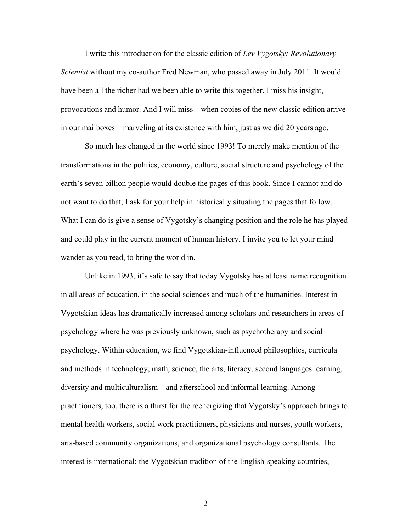I write this introduction for the classic edition of *Lev Vygotsky: Revolutionary Scientist* without my co-author Fred Newman, who passed away in July 2011. It would have been all the richer had we been able to write this together. I miss his insight, provocations and humor. And I will miss—when copies of the new classic edition arrive in our mailboxes—marveling at its existence with him, just as we did 20 years ago.

So much has changed in the world since 1993! To merely make mention of the transformations in the politics, economy, culture, social structure and psychology of the earth's seven billion people would double the pages of this book. Since I cannot and do not want to do that, I ask for your help in historically situating the pages that follow. What I can do is give a sense of Vygotsky's changing position and the role he has played and could play in the current moment of human history. I invite you to let your mind wander as you read, to bring the world in.

Unlike in 1993, it's safe to say that today Vygotsky has at least name recognition in all areas of education, in the social sciences and much of the humanities. Interest in Vygotskian ideas has dramatically increased among scholars and researchers in areas of psychology where he was previously unknown, such as psychotherapy and social psychology. Within education, we find Vygotskian-influenced philosophies, curricula and methods in technology, math, science, the arts, literacy, second languages learning, diversity and multiculturalism—and afterschool and informal learning. Among practitioners, too, there is a thirst for the reenergizing that Vygotsky's approach brings to mental health workers, social work practitioners, physicians and nurses, youth workers, arts-based community organizations, and organizational psychology consultants. The interest is international; the Vygotskian tradition of the English-speaking countries,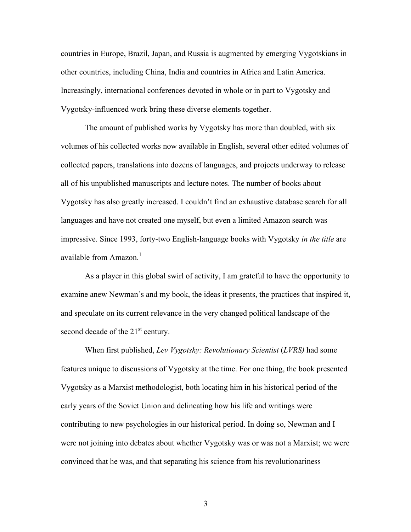countries in Europe, Brazil, Japan, and Russia is augmented by emerging Vygotskians in other countries, including China, India and countries in Africa and Latin America. Increasingly, international conferences devoted in whole or in part to Vygotsky and Vygotsky-influenced work bring these diverse elements together.

The amount of published works by Vygotsky has more than doubled, with six volumes of his collected works now available in English, several other edited volumes of collected papers, translations into dozens of languages, and projects underway to release all of his unpublished manuscripts and lecture notes. The number of books about Vygotsky has also greatly increased. I couldn't find an exhaustive database search for all languages and have not created one myself, but even a limited Amazon search was impressive. Since 1993, forty-two English-language books with Vygotsky *in the title* are available from Amazon. $<sup>1</sup>$ </sup>

As a player in this global swirl of activity, I am grateful to have the opportunity to examine anew Newman's and my book, the ideas it presents, the practices that inspired it, and speculate on its current relevance in the very changed political landscape of the second decade of the  $21<sup>st</sup>$  century.

When first published, *Lev Vygotsky: Revolutionary Scientist* (*LVRS)* had some features unique to discussions of Vygotsky at the time. For one thing, the book presented Vygotsky as a Marxist methodologist, both locating him in his historical period of the early years of the Soviet Union and delineating how his life and writings were contributing to new psychologies in our historical period. In doing so, Newman and I were not joining into debates about whether Vygotsky was or was not a Marxist; we were convinced that he was, and that separating his science from his revolutionariness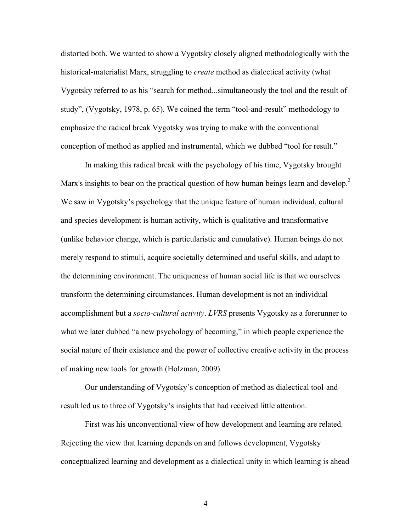distorted both. We wanted to show a Vygotsky closely aligned methodologically with the historical-materialist Marx, struggling to *create* method as dialectical activity (what Vygotsky referred to as his "search for method...simultaneously the tool and the result of study", (Vygotsky, 1978, p. 65). We coined the term "tool-and-result" methodology to emphasize the radical break Vygotsky was trying to make with the conventional conception of method as applied and instrumental, which we dubbed "tool for result."

In making this radical break with the psychology of his time, Vygotsky brought Marx's insights to bear on the practical question of how human beings learn and develop.<sup>2</sup> We saw in Vygotsky's psychology that the unique feature of human individual, cultural and species development is human activity, which is qualitative and transformative (unlike behavior change, which is particularistic and cumulative). Human beings do not merely respond to stimuli, acquire societally determined and useful skills, and adapt to the determining environment. The uniqueness of human social life is that we ourselves transform the determining circumstances. Human development is not an individual accomplishment but a *socio-cultural activity*. *LVRS* presents Vygotsky as a forerunner to what we later dubbed "a new psychology of becoming," in which people experience the social nature of their existence and the power of collective creative activity in the process of making new tools for growth (Holzman, 2009).

Our understanding of Vygotsky's conception of method as dialectical tool-andresult led us to three of Vygotsky's insights that had received little attention.

First was his unconventional view of how development and learning are related. Rejecting the view that learning depends on and follows development, Vygotsky conceptualized learning and development as a dialectical unity in which learning is ahead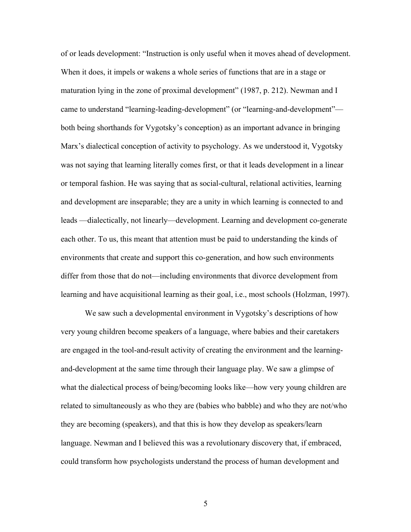of or leads development: "Instruction is only useful when it moves ahead of development. When it does, it impels or wakens a whole series of functions that are in a stage or maturation lying in the zone of proximal development" (1987, p. 212). Newman and I came to understand "learning-leading-development" (or "learning-and-development" both being shorthands for Vygotsky's conception) as an important advance in bringing Marx's dialectical conception of activity to psychology. As we understood it, Vygotsky was not saying that learning literally comes first, or that it leads development in a linear or temporal fashion. He was saying that as social-cultural, relational activities, learning and development are inseparable; they are a unity in which learning is connected to and leads —dialectically, not linearly—development. Learning and development co-generate each other. To us, this meant that attention must be paid to understanding the kinds of environments that create and support this co-generation, and how such environments differ from those that do not—including environments that divorce development from learning and have acquisitional learning as their goal, i.e., most schools (Holzman, 1997).

We saw such a developmental environment in Vygotsky's descriptions of how very young children become speakers of a language, where babies and their caretakers are engaged in the tool-and-result activity of creating the environment and the learningand-development at the same time through their language play. We saw a glimpse of what the dialectical process of being/becoming looks like—how very young children are related to simultaneously as who they are (babies who babble) and who they are not/who they are becoming (speakers), and that this is how they develop as speakers/learn language. Newman and I believed this was a revolutionary discovery that, if embraced, could transform how psychologists understand the process of human development and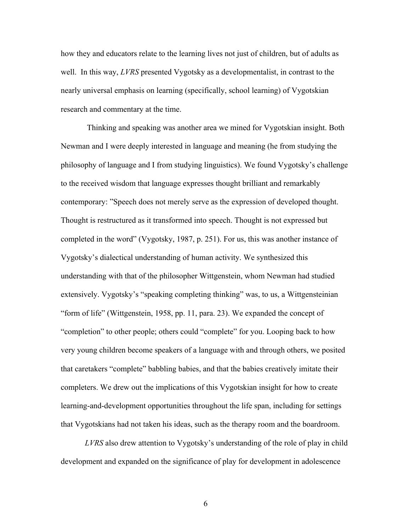how they and educators relate to the learning lives not just of children, but of adults as well. In this way, *LVRS* presented Vygotsky as a developmentalist, in contrast to the nearly universal emphasis on learning (specifically, school learning) of Vygotskian research and commentary at the time.

Thinking and speaking was another area we mined for Vygotskian insight. Both Newman and I were deeply interested in language and meaning (he from studying the philosophy of language and I from studying linguistics). We found Vygotsky's challenge to the received wisdom that language expresses thought brilliant and remarkably contemporary: "Speech does not merely serve as the expression of developed thought. Thought is restructured as it transformed into speech. Thought is not expressed but completed in the word" (Vygotsky, 1987, p. 251). For us, this was another instance of Vygotsky's dialectical understanding of human activity. We synthesized this understanding with that of the philosopher Wittgenstein, whom Newman had studied extensively. Vygotsky's "speaking completing thinking" was, to us, a Wittgensteinian "form of life" (Wittgenstein, 1958, pp. 11, para. 23). We expanded the concept of "completion" to other people; others could "complete" for you. Looping back to how very young children become speakers of a language with and through others, we posited that caretakers "complete" babbling babies, and that the babies creatively imitate their completers. We drew out the implications of this Vygotskian insight for how to create learning-and-development opportunities throughout the life span, including for settings that Vygotskians had not taken his ideas, such as the therapy room and the boardroom.

*LVRS* also drew attention to Vygotsky's understanding of the role of play in child development and expanded on the significance of play for development in adolescence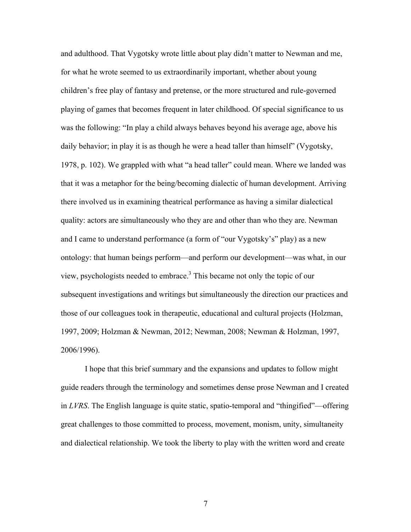and adulthood. That Vygotsky wrote little about play didn't matter to Newman and me, for what he wrote seemed to us extraordinarily important, whether about young children's free play of fantasy and pretense, or the more structured and rule-governed playing of games that becomes frequent in later childhood. Of special significance to us was the following: "In play a child always behaves beyond his average age, above his daily behavior; in play it is as though he were a head taller than himself" (Vygotsky, 1978, p. 102). We grappled with what "a head taller" could mean. Where we landed was that it was a metaphor for the being/becoming dialectic of human development. Arriving there involved us in examining theatrical performance as having a similar dialectical quality: actors are simultaneously who they are and other than who they are. Newman and I came to understand performance (a form of "our Vygotsky's" play) as a new ontology: that human beings perform—and perform our development—was what, in our view, psychologists needed to embrace.3 This became not only the topic of our subsequent investigations and writings but simultaneously the direction our practices and those of our colleagues took in therapeutic, educational and cultural projects (Holzman, 1997, 2009; Holzman & Newman, 2012; Newman, 2008; Newman & Holzman, 1997, 2006/1996).

I hope that this brief summary and the expansions and updates to follow might guide readers through the terminology and sometimes dense prose Newman and I created in *LVRS*. The English language is quite static, spatio-temporal and "thingified"—offering great challenges to those committed to process, movement, monism, unity, simultaneity and dialectical relationship. We took the liberty to play with the written word and create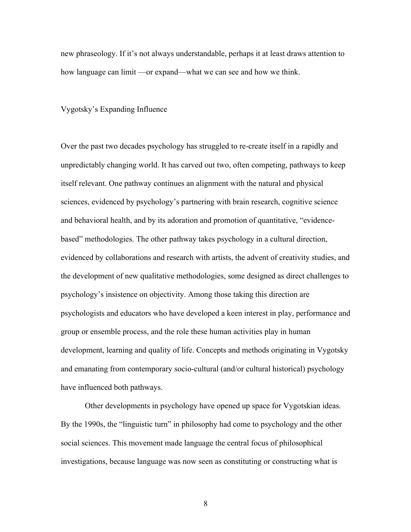new phraseology. If it's not always understandable, perhaps it at least draws attention to how language can limit —or expand—what we can see and how we think.

Vygotsky's Expanding Influence

Over the past two decades psychology has struggled to re-create itself in a rapidly and unpredictably changing world. It has carved out two, often competing, pathways to keep itself relevant. One pathway continues an alignment with the natural and physical sciences, evidenced by psychology's partnering with brain research, cognitive science and behavioral health, and by its adoration and promotion of quantitative, "evidencebased" methodologies. The other pathway takes psychology in a cultural direction, evidenced by collaborations and research with artists, the advent of creativity studies, and the development of new qualitative methodologies, some designed as direct challenges to psychology's insistence on objectivity. Among those taking this direction are psychologists and educators who have developed a keen interest in play, performance and group or ensemble process, and the role these human activities play in human development, learning and quality of life. Concepts and methods originating in Vygotsky and emanating from contemporary socio-cultural (and/or cultural historical) psychology have influenced both pathways.

Other developments in psychology have opened up space for Vygotskian ideas. By the 1990s, the "linguistic turn" in philosophy had come to psychology and the other social sciences. This movement made language the central focus of philosophical investigations, because language was now seen as constituting or constructing what is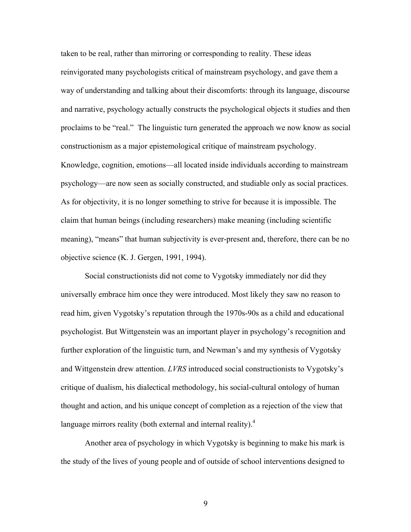taken to be real, rather than mirroring or corresponding to reality. These ideas reinvigorated many psychologists critical of mainstream psychology, and gave them a way of understanding and talking about their discomforts: through its language, discourse and narrative, psychology actually constructs the psychological objects it studies and then proclaims to be "real." The linguistic turn generated the approach we now know as social constructionism as a major epistemological critique of mainstream psychology. Knowledge, cognition, emotions—all located inside individuals according to mainstream psychology—are now seen as socially constructed, and studiable only as social practices. As for objectivity, it is no longer something to strive for because it is impossible. The claim that human beings (including researchers) make meaning (including scientific meaning), "means" that human subjectivity is ever-present and, therefore, there can be no objective science (K. J. Gergen, 1991, 1994).

Social constructionists did not come to Vygotsky immediately nor did they universally embrace him once they were introduced. Most likely they saw no reason to read him, given Vygotsky's reputation through the 1970s-90s as a child and educational psychologist. But Wittgenstein was an important player in psychology's recognition and further exploration of the linguistic turn, and Newman's and my synthesis of Vygotsky and Wittgenstein drew attention. *LVRS* introduced social constructionists to Vygotsky's critique of dualism, his dialectical methodology, his social-cultural ontology of human thought and action, and his unique concept of completion as a rejection of the view that language mirrors reality (both external and internal reality). $4$ 

Another area of psychology in which Vygotsky is beginning to make his mark is the study of the lives of young people and of outside of school interventions designed to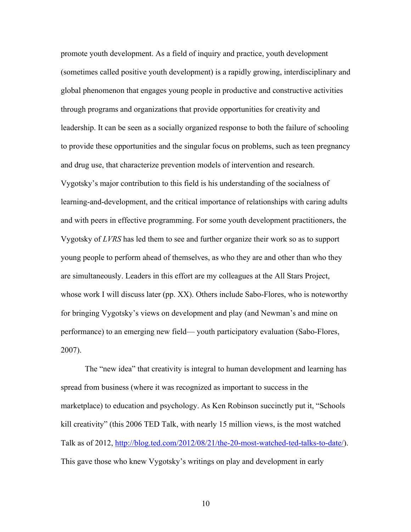promote youth development. As a field of inquiry and practice, youth development (sometimes called positive youth development) is a rapidly growing, interdisciplinary and global phenomenon that engages young people in productive and constructive activities through programs and organizations that provide opportunities for creativity and leadership. It can be seen as a socially organized response to both the failure of schooling to provide these opportunities and the singular focus on problems, such as teen pregnancy and drug use, that characterize prevention models of intervention and research. Vygotsky's major contribution to this field is his understanding of the socialness of learning-and-development, and the critical importance of relationships with caring adults and with peers in effective programming. For some youth development practitioners, the Vygotsky of *LVRS* has led them to see and further organize their work so as to support young people to perform ahead of themselves, as who they are and other than who they are simultaneously. Leaders in this effort are my colleagues at the All Stars Project, whose work I will discuss later (pp. XX). Others include Sabo-Flores, who is noteworthy for bringing Vygotsky's views on development and play (and Newman's and mine on performance) to an emerging new field— youth participatory evaluation (Sabo-Flores, 2007).

The "new idea" that creativity is integral to human development and learning has spread from business (where it was recognized as important to success in the marketplace) to education and psychology. As Ken Robinson succinctly put it, "Schools kill creativity" (this 2006 TED Talk, with nearly 15 million views, is the most watched Talk as of 2012, http://blog.ted.com/2012/08/21/the-20-most-watched-ted-talks-to-date/). This gave those who knew Vygotsky's writings on play and development in early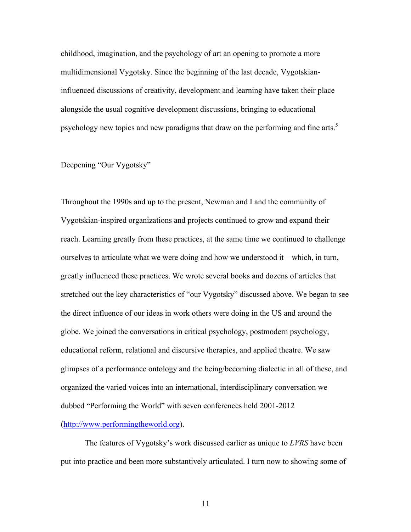childhood, imagination, and the psychology of art an opening to promote a more multidimensional Vygotsky. Since the beginning of the last decade, Vygotskianinfluenced discussions of creativity, development and learning have taken their place alongside the usual cognitive development discussions, bringing to educational psychology new topics and new paradigms that draw on the performing and fine arts.<sup>5</sup>

# Deepening "Our Vygotsky"

Throughout the 1990s and up to the present, Newman and I and the community of Vygotskian-inspired organizations and projects continued to grow and expand their reach. Learning greatly from these practices, at the same time we continued to challenge ourselves to articulate what we were doing and how we understood it—which, in turn, greatly influenced these practices. We wrote several books and dozens of articles that stretched out the key characteristics of "our Vygotsky" discussed above. We began to see the direct influence of our ideas in work others were doing in the US and around the globe. We joined the conversations in critical psychology, postmodern psychology, educational reform, relational and discursive therapies, and applied theatre. We saw glimpses of a performance ontology and the being/becoming dialectic in all of these, and organized the varied voices into an international, interdisciplinary conversation we dubbed "Performing the World" with seven conferences held 2001-2012 (http://www.performingtheworld.org).

The features of Vygotsky's work discussed earlier as unique to *LVRS* have been put into practice and been more substantively articulated. I turn now to showing some of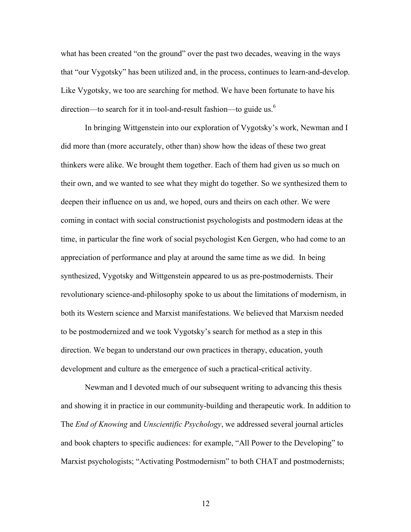what has been created "on the ground" over the past two decades, weaving in the ways that "our Vygotsky" has been utilized and, in the process, continues to learn-and-develop. Like Vygotsky, we too are searching for method. We have been fortunate to have his direction—to search for it in tool-and-result fashion—to guide us.<sup>6</sup>

In bringing Wittgenstein into our exploration of Vygotsky's work, Newman and I did more than (more accurately, other than) show how the ideas of these two great thinkers were alike. We brought them together. Each of them had given us so much on their own, and we wanted to see what they might do together. So we synthesized them to deepen their influence on us and, we hoped, ours and theirs on each other. We were coming in contact with social constructionist psychologists and postmodern ideas at the time, in particular the fine work of social psychologist Ken Gergen, who had come to an appreciation of performance and play at around the same time as we did. In being synthesized, Vygotsky and Wittgenstein appeared to us as pre-postmodernists. Their revolutionary science-and-philosophy spoke to us about the limitations of modernism, in both its Western science and Marxist manifestations. We believed that Marxism needed to be postmodernized and we took Vygotsky's search for method as a step in this direction. We began to understand our own practices in therapy, education, youth development and culture as the emergence of such a practical-critical activity.

Newman and I devoted much of our subsequent writing to advancing this thesis and showing it in practice in our community-building and therapeutic work. In addition to The *End of Knowing* and *Unscientific Psychology*, we addressed several journal articles and book chapters to specific audiences: for example, "All Power to the Developing" to Marxist psychologists; "Activating Postmodernism" to both CHAT and postmodernists;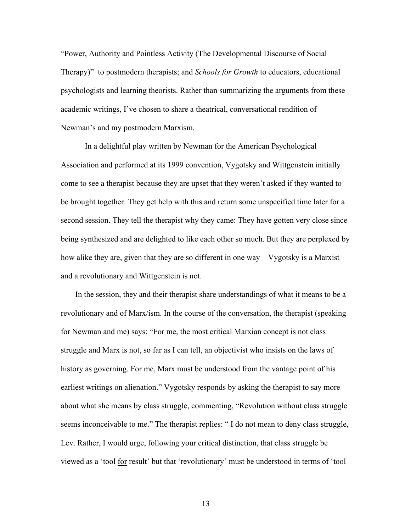"Power, Authority and Pointless Activity (The Developmental Discourse of Social Therapy)" to postmodern therapists; and *Schools for Growth* to educators, educational psychologists and learning theorists. Rather than summarizing the arguments from these academic writings, I've chosen to share a theatrical, conversational rendition of Newman's and my postmodern Marxism.

In a delightful play written by Newman for the American Psychological Association and performed at its 1999 convention, Vygotsky and Wittgenstein initially come to see a therapist because they are upset that they weren't asked if they wanted to be brought together. They get help with this and return some unspecified time later for a second session. They tell the therapist why they came: They have gotten very close since being synthesized and are delighted to like each other so much. But they are perplexed by how alike they are, given that they are so different in one way—Vygotsky is a Marxist and a revolutionary and Wittgenstein is not.

In the session, they and their therapist share understandings of what it means to be a revolutionary and of Marx/ism. In the course of the conversation, the therapist (speaking for Newman and me) says: "For me, the most critical Marxian concept is not class struggle and Marx is not, so far as I can tell, an objectivist who insists on the laws of history as governing. For me, Marx must be understood from the vantage point of his earliest writings on alienation." Vygotsky responds by asking the therapist to say more about what she means by class struggle, commenting, "Revolution without class struggle seems inconceivable to me." The therapist replies: " I do not mean to deny class struggle, Lev. Rather, I would urge, following your critical distinction, that class struggle be viewed as a 'tool for result' but that 'revolutionary' must be understood in terms of 'tool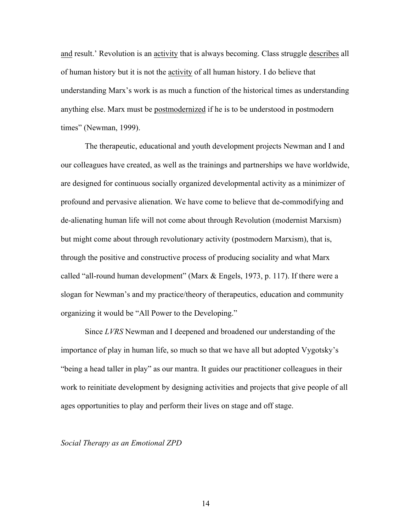and result.' Revolution is an activity that is always becoming. Class struggle describes all of human history but it is not the activity of all human history. I do believe that understanding Marx's work is as much a function of the historical times as understanding anything else. Marx must be postmodernized if he is to be understood in postmodern times" (Newman, 1999).

The therapeutic, educational and youth development projects Newman and I and our colleagues have created, as well as the trainings and partnerships we have worldwide, are designed for continuous socially organized developmental activity as a minimizer of profound and pervasive alienation. We have come to believe that de-commodifying and de-alienating human life will not come about through Revolution (modernist Marxism) but might come about through revolutionary activity (postmodern Marxism), that is, through the positive and constructive process of producing sociality and what Marx called "all-round human development" (Marx & Engels, 1973, p. 117). If there were a slogan for Newman's and my practice/theory of therapeutics, education and community organizing it would be "All Power to the Developing."

Since *LVRS* Newman and I deepened and broadened our understanding of the importance of play in human life, so much so that we have all but adopted Vygotsky's "being a head taller in play" as our mantra. It guides our practitioner colleagues in their work to reinitiate development by designing activities and projects that give people of all ages opportunities to play and perform their lives on stage and off stage.

*Social Therapy as an Emotional ZPD*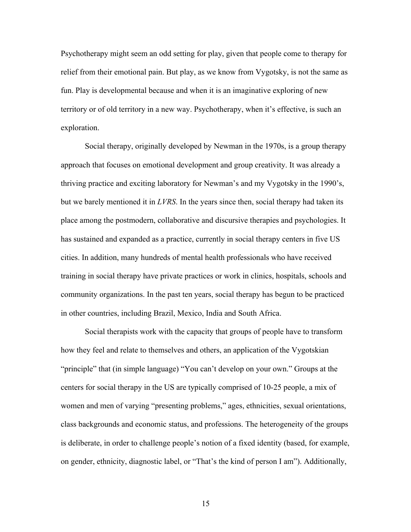Psychotherapy might seem an odd setting for play, given that people come to therapy for relief from their emotional pain. But play, as we know from Vygotsky, is not the same as fun. Play is developmental because and when it is an imaginative exploring of new territory or of old territory in a new way. Psychotherapy, when it's effective, is such an exploration.

Social therapy, originally developed by Newman in the 1970s, is a group therapy approach that focuses on emotional development and group creativity. It was already a thriving practice and exciting laboratory for Newman's and my Vygotsky in the 1990's, but we barely mentioned it in *LVRS*. In the years since then, social therapy had taken its place among the postmodern, collaborative and discursive therapies and psychologies. It has sustained and expanded as a practice, currently in social therapy centers in five US cities. In addition, many hundreds of mental health professionals who have received training in social therapy have private practices or work in clinics, hospitals, schools and community organizations. In the past ten years, social therapy has begun to be practiced in other countries, including Brazil, Mexico, India and South Africa.

Social therapists work with the capacity that groups of people have to transform how they feel and relate to themselves and others, an application of the Vygotskian "principle" that (in simple language) "You can't develop on your own." Groups at the centers for social therapy in the US are typically comprised of 10-25 people, a mix of women and men of varying "presenting problems," ages, ethnicities, sexual orientations, class backgrounds and economic status, and professions. The heterogeneity of the groups is deliberate, in order to challenge people's notion of a fixed identity (based, for example, on gender, ethnicity, diagnostic label, or "That's the kind of person I am"). Additionally,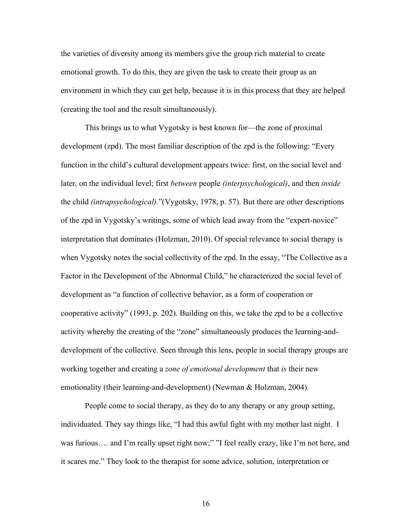the varieties of diversity among its members give the group rich material to create emotional growth. To do this, they are given the task to create their group as an environment in which they can get help, because it is in this process that they are helped (creating the tool and the result simultaneously).

This brings us to what Vygotsky is best known for—the zone of proximal development (zpd). The most familiar description of the zpd is the following: "Every function in the child's cultural development appears twice: first, on the social level and later, on the individual level; first *between* people *(interpsychological)*, and then *inside*  the child *(intrapsychological).*"(Vygotsky, 1978, p. 57). But there are other descriptions of the zpd in Vygotsky's writings, some of which lead away from the "expert-novice" interpretation that dominates (Holzman, 2010). Of special relevance to social therapy is when Vygotsky notes the social collectivity of the zpd. In the essay, "The Collective as a Factor in the Development of the Abnormal Child," he characterized the social level of development as "a function of collective behavior, as a form of cooperation or cooperative activity" (1993, p. 202). Building on this, we take the zpd to be a collective activity whereby the creating of the "zone" simultaneously produces the learning-anddevelopment of the collective. Seen through this lens, people in social therapy groups are working together and creating a *zone of emotional development* that *is* their new emotionality (their learning-and-development) (Newman & Holzman, 2004).

People come to social therapy, as they do to any therapy or any group setting, individuated. They say things like, "I had this awful fight with my mother last night. I was furious.... and I'm really upset right now;" "I feel really crazy, like I'm not here, and it scares me." They look to the therapist for some advice, solution, interpretation or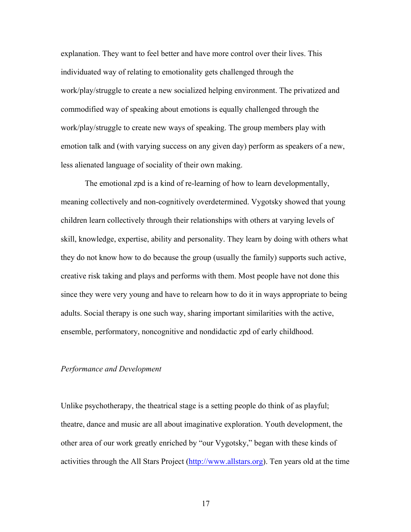explanation. They want to feel better and have more control over their lives. This individuated way of relating to emotionality gets challenged through the work/play/struggle to create a new socialized helping environment. The privatized and commodified way of speaking about emotions is equally challenged through the work/play/struggle to create new ways of speaking. The group members play with emotion talk and (with varying success on any given day) perform as speakers of a new, less alienated language of sociality of their own making.

The emotional zpd is a kind of re-learning of how to learn developmentally, meaning collectively and non-cognitively overdetermined. Vygotsky showed that young children learn collectively through their relationships with others at varying levels of skill, knowledge, expertise, ability and personality. They learn by doing with others what they do not know how to do because the group (usually the family) supports such active, creative risk taking and plays and performs with them. Most people have not done this since they were very young and have to relearn how to do it in ways appropriate to being adults. Social therapy is one such way, sharing important similarities with the active, ensemble, performatory, noncognitive and nondidactic zpd of early childhood.

#### *Performance and Development*

Unlike psychotherapy, the theatrical stage is a setting people do think of as playful; theatre, dance and music are all about imaginative exploration. Youth development, the other area of our work greatly enriched by "our Vygotsky," began with these kinds of activities through the All Stars Project (http://www.allstars.org). Ten years old at the time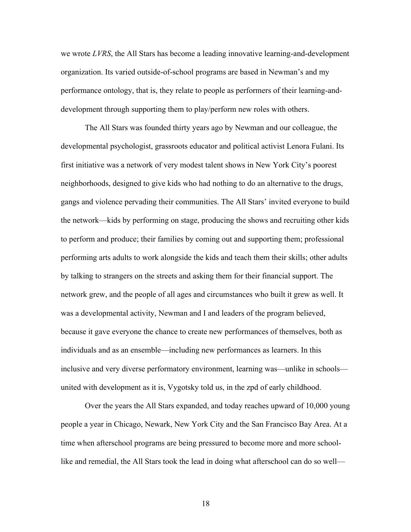we wrote *LVRS*, the All Stars has become a leading innovative learning-and-development organization. Its varied outside-of-school programs are based in Newman's and my performance ontology, that is, they relate to people as performers of their learning-anddevelopment through supporting them to play/perform new roles with others.

The All Stars was founded thirty years ago by Newman and our colleague, the developmental psychologist, grassroots educator and political activist Lenora Fulani. Its first initiative was a network of very modest talent shows in New York City's poorest neighborhoods, designed to give kids who had nothing to do an alternative to the drugs, gangs and violence pervading their communities. The All Stars' invited everyone to build the network—kids by performing on stage, producing the shows and recruiting other kids to perform and produce; their families by coming out and supporting them; professional performing arts adults to work alongside the kids and teach them their skills; other adults by talking to strangers on the streets and asking them for their financial support. The network grew, and the people of all ages and circumstances who built it grew as well. It was a developmental activity, Newman and I and leaders of the program believed, because it gave everyone the chance to create new performances of themselves, both as individuals and as an ensemble—including new performances as learners. In this inclusive and very diverse performatory environment, learning was—unlike in schools united with development as it is, Vygotsky told us, in the zpd of early childhood.

Over the years the All Stars expanded, and today reaches upward of 10,000 young people a year in Chicago, Newark, New York City and the San Francisco Bay Area. At a time when afterschool programs are being pressured to become more and more schoollike and remedial, the All Stars took the lead in doing what afterschool can do so well—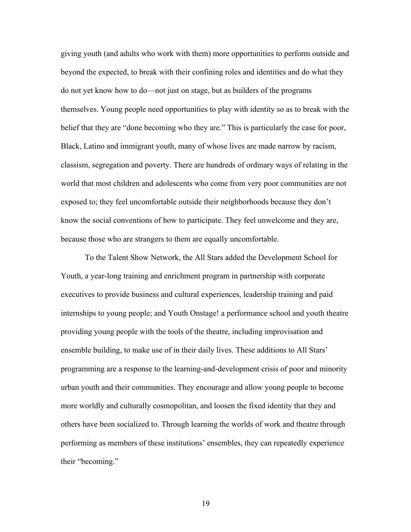giving youth (and adults who work with them) more opportunities to perform outside and beyond the expected, to break with their confining roles and identities and do what they do not yet know how to do—not just on stage, but as builders of the programs themselves. Young people need opportunities to play with identity so as to break with the belief that they are "done becoming who they are." This is particularly the case for poor, Black, Latino and immigrant youth, many of whose lives are made narrow by racism, classism, segregation and poverty. There are hundreds of ordinary ways of relating in the world that most children and adolescents who come from very poor communities are not exposed to; they feel uncomfortable outside their neighborhoods because they don't know the social conventions of how to participate. They feel unwelcome and they are, because those who are strangers to them are equally uncomfortable.

To the Talent Show Network, the All Stars added the Development School for Youth, a year-long training and enrichment program in partnership with corporate executives to provide business and cultural experiences, leadership training and paid internships to young people; and Youth Onstage! a performance school and youth theatre providing young people with the tools of the theatre, including improvisation and ensemble building, to make use of in their daily lives. These additions to All Stars' programming are a response to the learning-and-development crisis of poor and minority urban youth and their communities. They encourage and allow young people to become more worldly and culturally cosmopolitan, and loosen the fixed identity that they and others have been socialized to. Through learning the worlds of work and theatre through performing as members of these institutions' ensembles, they can repeatedly experience their "becoming."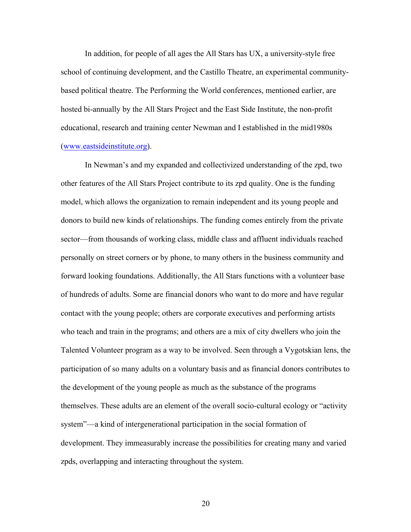In addition, for people of all ages the All Stars has UX, a university-style free school of continuing development, and the Castillo Theatre, an experimental communitybased political theatre. The Performing the World conferences, mentioned earlier, are hosted bi-annually by the All Stars Project and the East Side Institute, the non-profit educational, research and training center Newman and I established in the mid1980s (www.eastsideinstitute.org).

In Newman's and my expanded and collectivized understanding of the zpd, two other features of the All Stars Project contribute to its zpd quality. One is the funding model, which allows the organization to remain independent and its young people and donors to build new kinds of relationships. The funding comes entirely from the private sector—from thousands of working class, middle class and affluent individuals reached personally on street corners or by phone, to many others in the business community and forward looking foundations. Additionally, the All Stars functions with a volunteer base of hundreds of adults. Some are financial donors who want to do more and have regular contact with the young people; others are corporate executives and performing artists who teach and train in the programs; and others are a mix of city dwellers who join the Talented Volunteer program as a way to be involved. Seen through a Vygotskian lens, the participation of so many adults on a voluntary basis and as financial donors contributes to the development of the young people as much as the substance of the programs themselves. These adults are an element of the overall socio-cultural ecology or "activity system"—a kind of intergenerational participation in the social formation of development. They immeasurably increase the possibilities for creating many and varied zpds, overlapping and interacting throughout the system.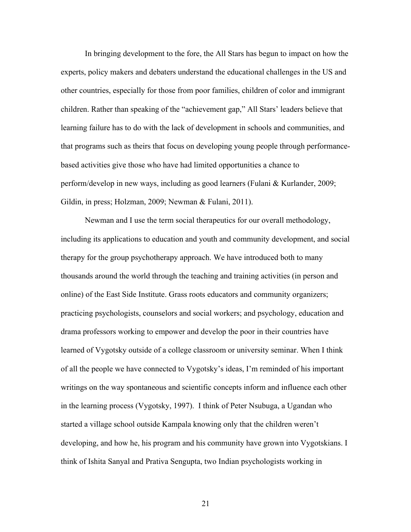In bringing development to the fore, the All Stars has begun to impact on how the experts, policy makers and debaters understand the educational challenges in the US and other countries, especially for those from poor families, children of color and immigrant children. Rather than speaking of the "achievement gap," All Stars' leaders believe that learning failure has to do with the lack of development in schools and communities, and that programs such as theirs that focus on developing young people through performancebased activities give those who have had limited opportunities a chance to perform/develop in new ways, including as good learners (Fulani & Kurlander, 2009; Gildin, in press; Holzman, 2009; Newman & Fulani, 2011).

Newman and I use the term social therapeutics for our overall methodology, including its applications to education and youth and community development, and social therapy for the group psychotherapy approach. We have introduced both to many thousands around the world through the teaching and training activities (in person and online) of the East Side Institute. Grass roots educators and community organizers; practicing psychologists, counselors and social workers; and psychology, education and drama professors working to empower and develop the poor in their countries have learned of Vygotsky outside of a college classroom or university seminar. When I think of all the people we have connected to Vygotsky's ideas, I'm reminded of his important writings on the way spontaneous and scientific concepts inform and influence each other in the learning process (Vygotsky, 1997). I think of Peter Nsubuga, a Ugandan who started a village school outside Kampala knowing only that the children weren't developing, and how he, his program and his community have grown into Vygotskians. I think of Ishita Sanyal and Prativa Sengupta, two Indian psychologists working in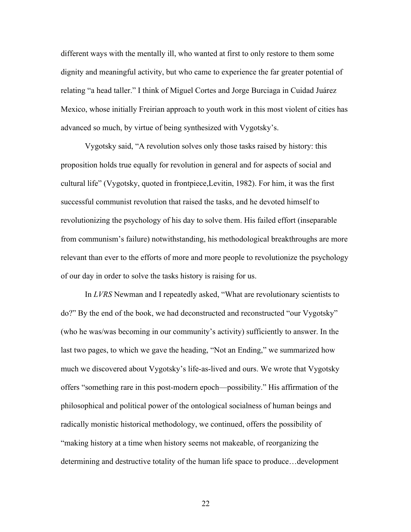different ways with the mentally ill, who wanted at first to only restore to them some dignity and meaningful activity, but who came to experience the far greater potential of relating "a head taller." I think of Miguel Cortes and Jorge Burciaga in Cuidad Juárez Mexico, whose initially Freirian approach to youth work in this most violent of cities has advanced so much, by virtue of being synthesized with Vygotsky's.

Vygotsky said, "A revolution solves only those tasks raised by history: this proposition holds true equally for revolution in general and for aspects of social and cultural life" (Vygotsky, quoted in frontpiece,Levitin, 1982). For him, it was the first successful communist revolution that raised the tasks, and he devoted himself to revolutionizing the psychology of his day to solve them. His failed effort (inseparable from communism's failure) notwithstanding, his methodological breakthroughs are more relevant than ever to the efforts of more and more people to revolutionize the psychology of our day in order to solve the tasks history is raising for us.

In *LVRS* Newman and I repeatedly asked, "What are revolutionary scientists to do?" By the end of the book, we had deconstructed and reconstructed "our Vygotsky" (who he was/was becoming in our community's activity) sufficiently to answer. In the last two pages, to which we gave the heading, "Not an Ending," we summarized how much we discovered about Vygotsky's life-as-lived and ours. We wrote that Vygotsky offers "something rare in this post-modern epoch—possibility." His affirmation of the philosophical and political power of the ontological socialness of human beings and radically monistic historical methodology, we continued, offers the possibility of "making history at a time when history seems not makeable, of reorganizing the determining and destructive totality of the human life space to produce…development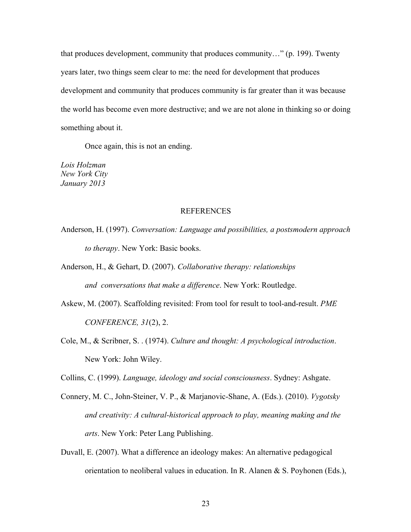that produces development, community that produces community…" (p. 199). Twenty years later, two things seem clear to me: the need for development that produces development and community that produces community is far greater than it was because the world has become even more destructive; and we are not alone in thinking so or doing something about it.

Once again, this is not an ending.

*Lois Holzman New York City January 2013*

### REFERENCES

- Anderson, H. (1997). *Conversation: Language and possibilities, a postsmodern approach to therapy*. New York: Basic books.
- Anderson, H., & Gehart, D. (2007). *Collaborative therapy: relationships and conversations that make a difference*. New York: Routledge.
- Askew, M. (2007). Scaffolding revisited: From tool for result to tool-and-result. *PME CONFERENCE, 31*(2), 2.
- Cole, M., & Scribner, S. . (1974). *Culture and thought: A psychological introduction*. New York: John Wiley.
- Collins, C. (1999). *Language, ideology and social consciousness*. Sydney: Ashgate.
- Connery, M. C., John-Steiner, V. P., & Marjanovic-Shane, A. (Eds.). (2010). *Vygotsky and creativity: A cultural-historical approach to play, meaning making and the arts*. New York: Peter Lang Publishing.
- Duvall, E. (2007). What a difference an ideology makes: An alternative pedagogical orientation to neoliberal values in education. In R. Alanen & S. Poyhonen (Eds.),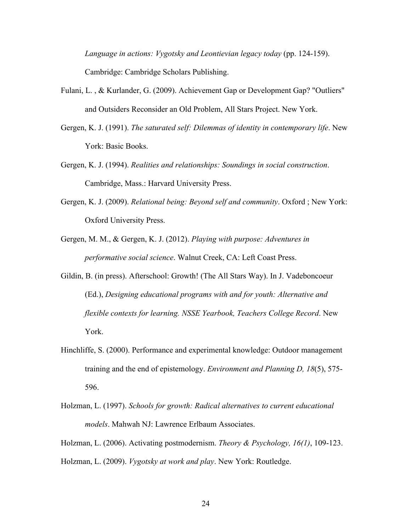*Language in actions: Vygotsky and Leontievian legacy today* (pp. 124-159). Cambridge: Cambridge Scholars Publishing.

- Fulani, L. , & Kurlander, G. (2009). Achievement Gap or Development Gap? "Outliers" and Outsiders Reconsider an Old Problem, All Stars Project. New York.
- Gergen, K. J. (1991). *The saturated self: Dilemmas of identity in contemporary life*. New York: Basic Books.
- Gergen, K. J. (1994). *Realities and relationships: Soundings in social construction*. Cambridge, Mass.: Harvard University Press.
- Gergen, K. J. (2009). *Relational being: Beyond self and community*. Oxford ; New York: Oxford University Press.
- Gergen, M. M., & Gergen, K. J. (2012). *Playing with purpose: Adventures in performative social science*. Walnut Creek, CA: Left Coast Press.
- Gildin, B. (in press). Afterschool: Growth! (The All Stars Way). In J. Vadeboncoeur (Ed.), *Designing educational programs with and for youth: Alternative and flexible contexts for learning. NSSE Yearbook, Teachers College Record*. New York.
- Hinchliffe, S. (2000). Performance and experimental knowledge: Outdoor management training and the end of epistemology. *Environment and Planning D, 18*(5), 575- 596.
- Holzman, L. (1997). *Schools for growth: Radical alternatives to current educational models*. Mahwah NJ: Lawrence Erlbaum Associates.

Holzman, L. (2006). Activating postmodernism. *Theory & Psychology, 16(1)*, 109-123. Holzman, L. (2009). *Vygotsky at work and play*. New York: Routledge.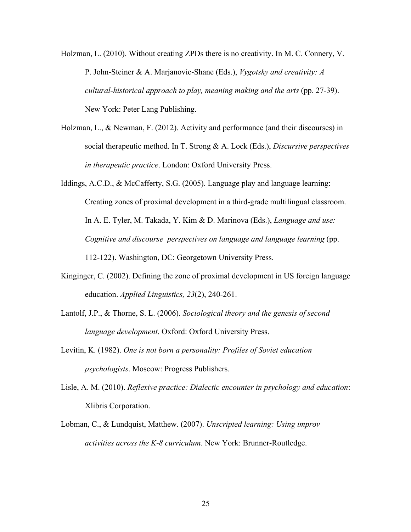- Holzman, L. (2010). Without creating ZPDs there is no creativity. In M. C. Connery, V. P. John-Steiner & A. Marjanovic-Shane (Eds.), *Vygotsky and creativity: A cultural-historical approach to play, meaning making and the arts* (pp. 27-39). New York: Peter Lang Publishing.
- Holzman, L., & Newman, F. (2012). Activity and performance (and their discourses) in social therapeutic method. In T. Strong & A. Lock (Eds.), *Discursive perspectives in therapeutic practice*. London: Oxford University Press.
- Iddings, A.C.D., & McCafferty, S.G. (2005). Language play and language learning: Creating zones of proximal development in a third-grade multilingual classroom. In A. E. Tyler, M. Takada, Y. Kim & D. Marinova (Eds.), *Language and use: Cognitive and discourse perspectives on language and language learning* (pp. 112-122). Washington, DC: Georgetown University Press.
- Kinginger, C. (2002). Defining the zone of proximal development in US foreign language education. *Applied Linguistics, 23*(2), 240-261.
- Lantolf, J.P., & Thorne, S. L. (2006). *Sociological theory and the genesis of second language development*. Oxford: Oxford University Press.
- Levitin, K. (1982). *One is not born a personality: Profiles of Soviet education psychologists*. Moscow: Progress Publishers.
- Lisle, A. M. (2010). *Reflexive practice: Dialectic encounter in psychology and education*: Xlibris Corporation.
- Lobman, C., & Lundquist, Matthew. (2007). *Unscripted learning: Using improv activities across the K-8 curriculum*. New York: Brunner-Routledge.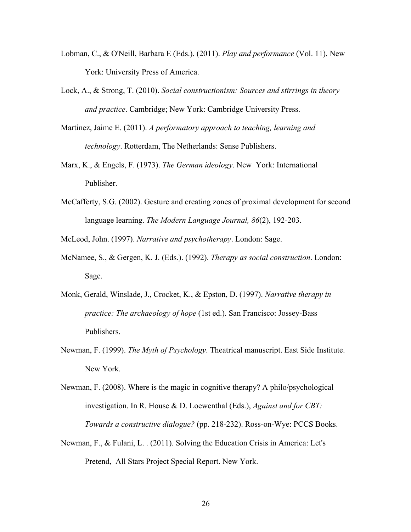- Lobman, C., & O'Neill, Barbara E (Eds.). (2011). *Play and performance* (Vol. 11). New York: University Press of America.
- Lock, A., & Strong, T. (2010). *Social constructionism: Sources and stirrings in theory and practice*. Cambridge; New York: Cambridge University Press.
- Martinez, Jaime E. (2011). *A performatory approach to teaching, learning and technology*. Rotterdam, The Netherlands: Sense Publishers.
- Marx, K., & Engels, F. (1973). *The German ideology*. New York: International Publisher.
- McCafferty, S.G. (2002). Gesture and creating zones of proximal development for second language learning. *The Modern Language Journal, 86*(2), 192-203.

McLeod, John. (1997). *Narrative and psychotherapy*. London: Sage.

- McNamee, S., & Gergen, K. J. (Eds.). (1992). *Therapy as social construction*. London: Sage.
- Monk, Gerald, Winslade, J., Crocket, K., & Epston, D. (1997). *Narrative therapy in practice: The archaeology of hope* (1st ed.). San Francisco: Jossey-Bass Publishers.
- Newman, F. (1999). *The Myth of Psychology*. Theatrical manuscript. East Side Institute. New York.
- Newman, F. (2008). Where is the magic in cognitive therapy? A philo/psychological investigation. In R. House & D. Loewenthal (Eds.), *Against and for CBT: Towards a constructive dialogue?* (pp. 218-232). Ross-on-Wye: PCCS Books.
- Newman, F., & Fulani, L. . (2011). Solving the Education Crisis in America: Let's Pretend, All Stars Project Special Report. New York.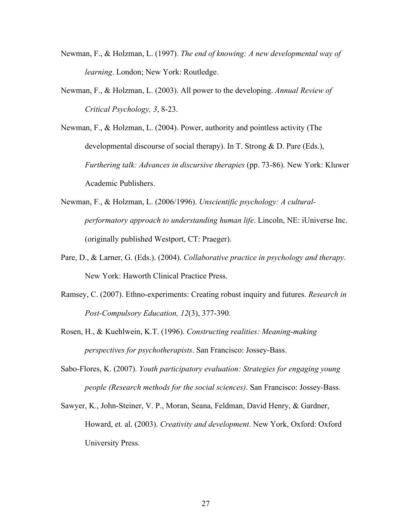- Newman, F., & Holzman, L. (1997). *The end of knowing: A new developmental way of learning*. London; New York: Routledge.
- Newman, F., & Holzman, L. (2003). All power to the developing. *Annual Review of Critical Psychology, 3*, 8-23.

Newman, F., & Holzman, L. (2004). Power, authority and pointless activity (The developmental discourse of social therapy). In T. Strong & D. Pare (Eds.), *Furthering talk: Advances in discursive therapies* (pp. 73-86). New York: Kluwer Academic Publishers.

- Newman, F., & Holzman, L. (2006/1996). *Unscientific psychology: A culturalperformatory approach to understanding human life*. Lincoln, NE: iUniverse Inc. (originally published Westport, CT: Praeger).
- Pare, D., & Larner, G. (Eds.). (2004). *Collaborative practice in psychology and therapy*. New York: Haworth Clinical Practice Press.
- Ramsey, C. (2007). Ethno-experiments: Creating robust inquiry and futures. *Research in Post-Compulsory Education, 12*(3), 377-390.
- Rosen, H., & Kuehlwein, K.T. (1996). *Constructing realities: Meaning-making perspectives for psychotherapists*. San Francisco: Jossey-Bass.
- Sabo-Flores, K. (2007). *Youth participatory evaluation: Strategies for engaging young people (Research methods for the social sciences)*. San Francisco: Jossey-Bass.
- Sawyer, K., John-Steiner, V. P., Moran, Seana, Feldman, David Henry, & Gardner, Howard, et. al. (2003). *Creativity and development*. New York, Oxford: Oxford University Press.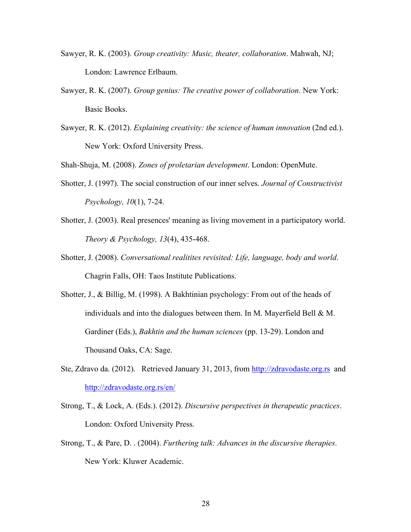- Sawyer, R. K. (2003). *Group creativity: Music, theater, collaboration*. Mahwah, NJ; London: Lawrence Erlbaum.
- Sawyer, R. K. (2007). *Group genius: The creative power of collaboration*. New York: Basic Books.
- Sawyer, R. K. (2012). *Explaining creativity: the science of human innovation* (2nd ed.). New York: Oxford University Press.

Shah-Shuja, M. (2008). *Zones of proletarian development*. London: OpenMute.

- Shotter, J. (1997). The social construction of our inner selves. *Journal of Constructivist Psychology, 10*(1), 7-24.
- Shotter, J. (2003). Real presences' meaning as living movement in a participatory world. *Theory & Psychology, 13*(4), 435-468.
- Shotter, J. (2008). *Conversational realitites revisited: Life, language, body and world*. Chagrin Falls, OH: Taos Institute Publications.
- Shotter, J., & Billig, M. (1998). A Bakhtinian psychology: From out of the heads of individuals and into the dialogues between them. In M. Mayerfield Bell & M. Gardiner (Eds.), *Bakhtin and the human sciences* (pp. 13-29). London and Thousand Oaks, CA: Sage.
- Ste, Zdravo da. (2012). Retrieved January 31, 2013, from http://zdravodaste.org.rs and http://zdravodaste.org.rs/en/
- Strong, T., & Lock, A. (Eds.). (2012). *Discursive perspectives in therapeutic practices*. London: Oxford University Press.
- Strong, T., & Pare, D. . (2004). *Furthering talk: Advances in the discursive therapies*. New York: Kluwer Academic.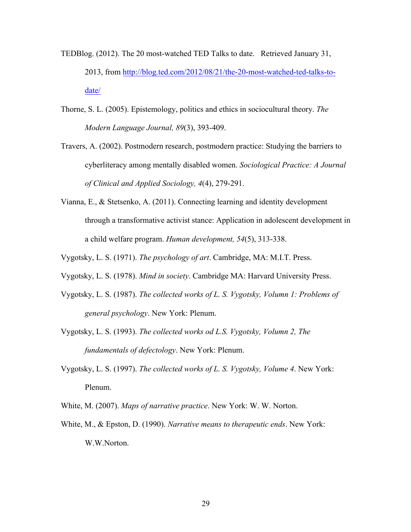- TEDBlog. (2012). The 20 most-watched TED Talks to date. Retrieved January 31, 2013, from http://blog.ted.com/2012/08/21/the-20-most-watched-ted-talks-todate/
- Thorne, S. L. (2005). Epistemology, politics and ethics in sociocultural theory. *The Modern Language Journal, 89*(3), 393-409.
- Travers, A. (2002). Postmodern research, postmodern practice: Studying the barriers to cyberliteracy among mentally disabled women. *Sociological Practice: A Journal of Clinical and Applied Sociology, 4*(4), 279-291.
- Vianna, E., & Stetsenko, A. (2011). Connecting learning and identity development through a transformative activist stance: Application in adolescent development in a child welfare program. *Human development, 54*(5), 313-338.
- Vygotsky, L. S. (1971). *The psychology of art*. Cambridge, MA: M.I.T. Press.
- Vygotsky, L. S. (1978). *Mind in society*. Cambridge MA: Harvard University Press.
- Vygotsky, L. S. (1987). *The collected works of L. S. Vygotsky, Volumn 1: Problems of general psychology*. New York: Plenum.
- Vygotsky, L. S. (1993). *The collected works od L.S. Vygotsky, Volumn 2, The fundamentals of defectology*. New York: Plenum.
- Vygotsky, L. S. (1997). *The collected works of L. S. Vygotsky, Volume 4*. New York: Plenum.
- White, M. (2007). *Maps of narrative practice*. New York: W. W. Norton.
- White, M., & Epston, D. (1990). *Narrative means to therapeutic ends*. New York: W.W.Norton.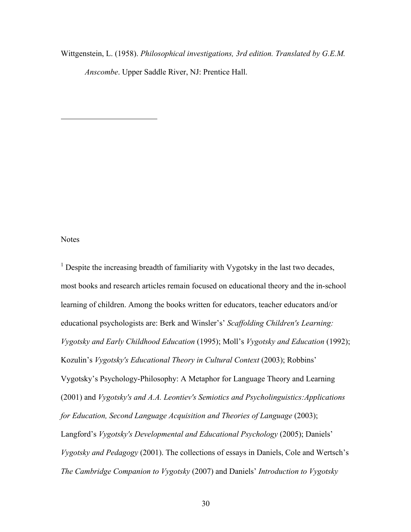Wittgenstein, L. (1958). *Philosophical investigations, 3rd edition. Translated by G.E.M.* 

*Anscombe*. Upper Saddle River, NJ: Prentice Hall.

## Notes

 $\overline{a}$ 

 $<sup>1</sup>$  Despite the increasing breadth of familiarity with Vygotsky in the last two decades,</sup> most books and research articles remain focused on educational theory and the in-school learning of children. Among the books written for educators, teacher educators and/or educational psychologists are: Berk and Winsler's' *Scaffolding Children's Learning: Vygotsky and Early Childhood Education* (1995); Moll's *Vygotsky and Education* (1992); Kozulin's *Vygotsky's Educational Theory in Cultural Context* (2003); Robbins' Vygotsky's Psychology-Philosophy: A Metaphor for Language Theory and Learning (2001) and *Vygotsky's and A.A. Leontiev's Semiotics and Psycholinguistics:Applications for Education, Second Language Acquisition and Theories of Language* (2003); Langford's *Vygotsky's Developmental and Educational Psychology* (2005); Daniels' *Vygotsky and Pedagogy* (2001). The collections of essays in Daniels, Cole and Wertsch's *The Cambridge Companion to Vygotsky* (2007) and Daniels' *Introduction to Vygotsky*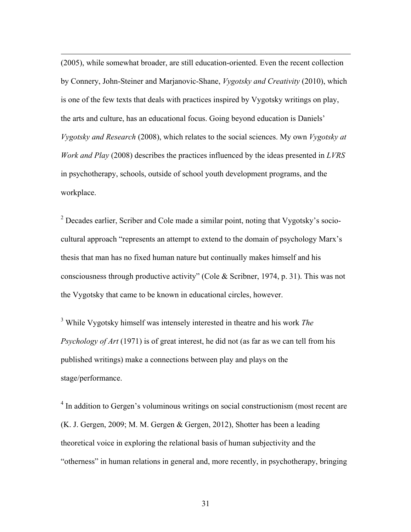(2005), while somewhat broader, are still education-oriented. Even the recent collection by Connery, John-Steiner and Marjanovic-Shane, *Vygotsky and Creativity* (2010), which is one of the few texts that deals with practices inspired by Vygotsky writings on play, the arts and culture, has an educational focus. Going beyond education is Daniels' *Vygotsky and Research* (2008), which relates to the social sciences. My own *Vygotsky at Work and Play* (2008) describes the practices influenced by the ideas presented in *LVRS* in psychotherapy, schools, outside of school youth development programs, and the workplace.

<u>.</u>

<sup>2</sup> Decades earlier, Scriber and Cole made a similar point, noting that Vygotsky's sociocultural approach "represents an attempt to extend to the domain of psychology Marx's thesis that man has no fixed human nature but continually makes himself and his consciousness through productive activity" (Cole & Scribner, 1974, p. 31). This was not the Vygotsky that came to be known in educational circles, however.

<sup>3</sup> While Vygotsky himself was intensely interested in theatre and his work *The Psychology of Art* (1971) is of great interest, he did not (as far as we can tell from his published writings) make a connections between play and plays on the stage/performance.

<sup>4</sup> In addition to Gergen's voluminous writings on social constructionism (most recent are (K. J. Gergen, 2009; M. M. Gergen & Gergen, 2012), Shotter has been a leading theoretical voice in exploring the relational basis of human subjectivity and the "otherness" in human relations in general and, more recently, in psychotherapy, bringing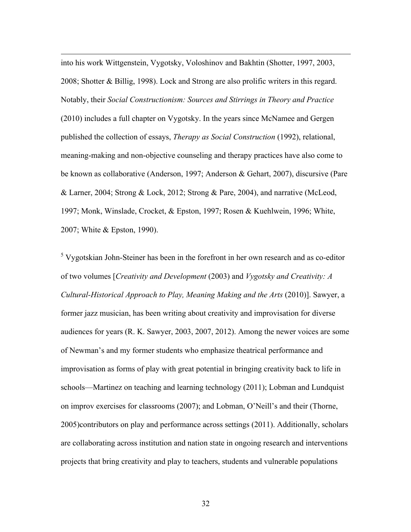into his work Wittgenstein, Vygotsky, Voloshinov and Bakhtin (Shotter, 1997, 2003, 2008; Shotter & Billig, 1998). Lock and Strong are also prolific writers in this regard. Notably, their *Social Constructionism: Sources and Stirrings in Theory and Practice* (2010) includes a full chapter on Vygotsky. In the years since McNamee and Gergen published the collection of essays, *Therapy as Social Construction* (1992), relational, meaning-making and non-objective counseling and therapy practices have also come to be known as collaborative (Anderson, 1997; Anderson & Gehart, 2007), discursive (Pare & Larner, 2004; Strong & Lock, 2012; Strong & Pare, 2004), and narrative (McLeod, 1997; Monk, Winslade, Crocket, & Epston, 1997; Rosen & Kuehlwein, 1996; White, 2007; White & Epston, 1990).

<u>.</u>

<sup>5</sup> Vygotskian John-Steiner has been in the forefront in her own research and as co-editor of two volumes [*Creativity and Development* (2003) and *Vygotsky and Creativity: A Cultural-Historical Approach to Play, Meaning Making and the Arts* (2010)]. Sawyer, a former jazz musician, has been writing about creativity and improvisation for diverse audiences for years (R. K. Sawyer, 2003, 2007, 2012). Among the newer voices are some of Newman's and my former students who emphasize theatrical performance and improvisation as forms of play with great potential in bringing creativity back to life in schools—Martinez on teaching and learning technology (2011); Lobman and Lundquist on improv exercises for classrooms (2007); and Lobman, O'Neill's and their (Thorne, 2005)contributors on play and performance across settings (2011). Additionally, scholars are collaborating across institution and nation state in ongoing research and interventions projects that bring creativity and play to teachers, students and vulnerable populations